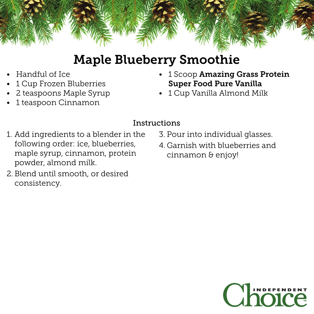

## Maple Blueberry Smoothie

- Handful of Ice
- 1 Cup Frozen Bluberries
- 2 teaspoons Maple Syrup
- 1 teaspoon Cinnamon
- 1 Scoop Amazing Grass Protein Super Food Pure Vanilla
- 1 Cup Vanilla Almond Milk

### Instructions

- 1. Add ingredients to a blender in the following order: ice, blueberries, maple syrup, cinnamon, protein powder, almond milk.
- 2. Blend until smooth, or desired consistency.
- 3. Pour into individual glasses.
- 4. Garnish with blueberries and cinnamon & enjoy!

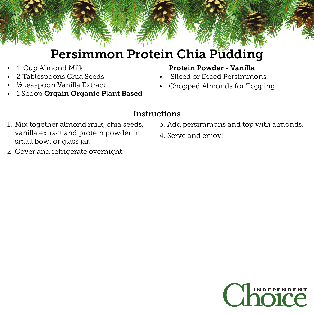### Persimmon Protein Chia Pudding

- 1 Cup Almond Milk
- 2 Tablespoons Chia Seeds
- $\frac{1}{2}$  teaspoon Vanilla Extract
- 1 Scoop Orgain Organic Plant Based

#### Protein Powder - Vanilla

- Sliced or Diced Persimmons
- Chopped Almonds for Topping

#### Instructions

- 1. Mix together almond milk, chia seeds, vanilla extract and protein powder in small bowl or glass jar.
- 3. Add persimmons and top with almonds.
- 4. Serve and enjoy!

2. Cover and refrigerate overnight.

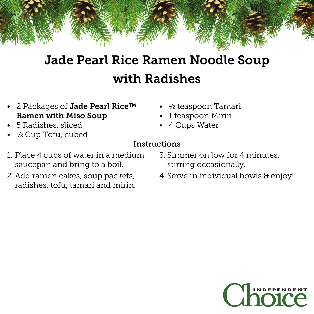# Jade Pearl Rice Ramen Noodle Soup with Radishes

- 2 Packages of Jade Pearl Rice™ Ramen with Miso Soup
- $\frac{1}{2}$  teaspoon Tamari
- 1 teaspoon Mirin
- 4 Cups Water

### • 5 Radishes, sliced

• 1/2 Cup Tofu, cubed

- Instructions
- 1. Place 4 cups of water in a medium saucepan and bring to a boil.
- 2. Add ramen cakes, soup packets, radishes, tofu, tamari and mirin.
- 3. Simmer on low for 4 minutes, stirring occasionally.
- 4. Serve in individual bowls & enjoy!

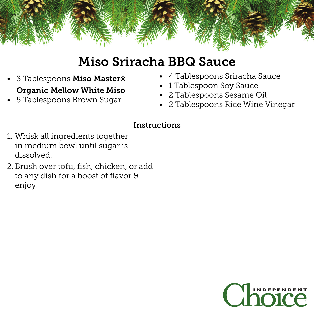

### Miso Sriracha BBQ Sauce

- 3 Tablespoons Miso Master® Organic Mellow White Miso
- 5 Tablespoons Brown Sugar
- 4 Tablespoons Sriracha Sauce
- 1 Tablespoon Soy Sauce
- 2 Tablespoons Sesame Oil
- 2 Tablespoons Rice Wine Vinegar

#### Instructions

- 1. Whisk all ingredients together in medium bowl until sugar is dissolved.
- 2. Brush over tofu, fish, chicken, or add to any dish for a boost of flavor & enjoy!